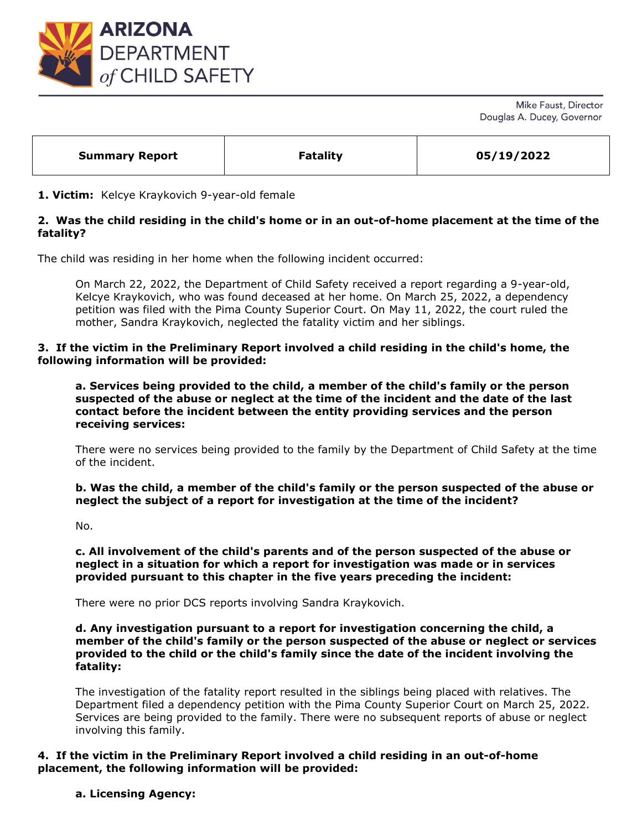

Mike Faust, Director Douglas A. Ducey, Governor

|  | <b>Summary Report</b> | <b>Fatality</b> | 05/19/2022 |
|--|-----------------------|-----------------|------------|
|--|-----------------------|-----------------|------------|

### **1. Victim:** Kelcye Kraykovich 9-year-old female

# **2. Was the child residing in the child's home or in an out-of-home placement at the time of the fatality?**

The child was residing in her home when the following incident occurred:

On March 22, 2022, the Department of Child Safety received a report regarding a 9-year-old, Kelcye Kraykovich, who was found deceased at her home. On March 25, 2022, a dependency petition was filed with the Pima County Superior Court. On May 11, 2022, the court ruled the mother, Sandra Kraykovich, neglected the fatality victim and her siblings.

### **3. If the victim in the Preliminary Report involved a child residing in the child's home, the following information will be provided:**

**a. Services being provided to the child, a member of the child's family or the person suspected of the abuse or neglect at the time of the incident and the date of the last contact before the incident between the entity providing services and the person receiving services:** 

There were no services being provided to the family by the Department of Child Safety at the time of the incident.

**b. Was the child, a member of the child's family or the person suspected of the abuse or neglect the subject of a report for investigation at the time of the incident?**

No.

**c. All involvement of the child's parents and of the person suspected of the abuse or neglect in a situation for which a report for investigation was made or in services provided pursuant to this chapter in the five years preceding the incident:**

There were no prior DCS reports involving Sandra Kraykovich.

**d. Any investigation pursuant to a report for investigation concerning the child, a member of the child's family or the person suspected of the abuse or neglect or services provided to the child or the child's family since the date of the incident involving the fatality:** 

The investigation of the fatality report resulted in the siblings being placed with relatives. The Department filed a dependency petition with the Pima County Superior Court on March 25, 2022. Services are being provided to the family. There were no subsequent reports of abuse or neglect involving this family.

## **4. If the victim in the Preliminary Report involved a child residing in an out-of-home placement, the following information will be provided:**

**a. Licensing Agency:**